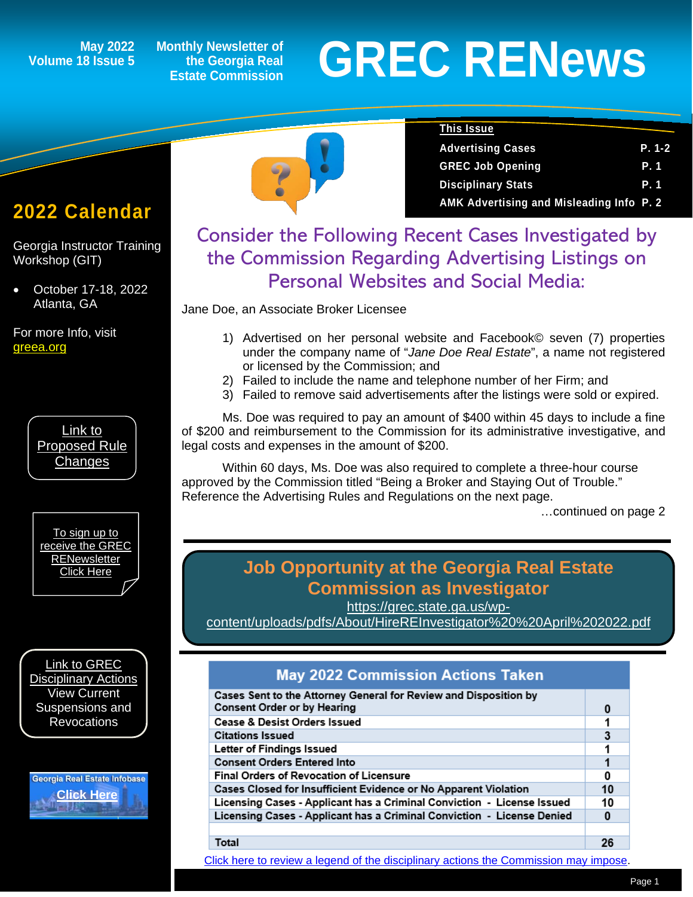# **Volume 18 Issue 5**

**Monthly Newsletter of the Georgia Real Estate Commission**

# May 2022 Monthly Newsletter of<br>
Estate Commission<br>
Estate Commission

Advertising Cases **P. 1-2** GREC Job Opening **P. 1 Disciplinary Stats P. 1 AMK Advertising and Misleading Info P. 2**

**This Issue**

## **2022 Calendar**

*1*

Georgia Instructor Training Workshop (GIT)

• October 17-18, 2022 Atlanta, GA

For more Info, visit [greea.org](http://www.annualschoolmeeting.com/grecgit/welcome/)



[To sign up to](https://grec.state.ga.us/newsletters/)  [receive the GREC](https://grec.state.ga.us/newsletters/)  **RENewsletter** 

[Link to GREC](https://grec.state.ga.us/information-research/disciplinary-actions/real-estate/)  [Disciplinary Actions](https://grec.state.ga.us/information-research/disciplinary-actions/real-estate/) View Current Suspensions and **Revocations** 

Georgia Real Estate Infobase **[Click Here](https://www.grec.state.ga.us/infobase/infobase.html)**



### Consider the Following Recent Cases Investigated by the Commission Regarding Advertising Listings on Personal Websites and Social Media:

Jane Doe, an Associate Broker Licensee

- 1) Advertised on her personal website and Facebook© seven (7) properties under the company name of "*Jane Doe Real Estate*", a name not registered or licensed by the Commission; and
- 2) Failed to include the name and telephone number of her Firm; and
- 3) Failed to remove said advertisements after the listings were sold or expired.

Ms. Doe was required to pay an amount of \$400 within 45 days to include a fine of \$200 and reimbursement to the Commission for its administrative investigative, and legal costs and expenses in the amount of \$200.

Within 60 days, Ms. Doe was also required to complete a three-hour course approved by the Commission titled "Being a Broker and Staying Out of Trouble." [Reference the Advertising Rules and Regulations on the next page.](#page-1-0) 

…continued on page 2

### [Click Here](https://grec.state.ga.us/newsletters/) **Job Opportunity at the Georgia Real Estate Commission as Investigator**

[https://grec.state.ga.us/wp-](https://grec.state.ga.us/wp-content/uploads/pdfs/About/HireREInvestigator%20%20April%202022.pdf)

[content/uploads/pdfs/About/HireREInvestigator%20%20April%202022.pdf](https://grec.state.ga.us/wp-content/uploads/pdfs/About/HireREInvestigator%20%20April%202022.pdf)

### **May 2022 Commission Actions Taken**

| Cases Sent to the Attorney General for Review and Disposition by<br><b>Consent Order or by Hearing</b> |    |
|--------------------------------------------------------------------------------------------------------|----|
|                                                                                                        |    |
| <b>Cease &amp; Desist Orders Issued</b>                                                                |    |
| <b>Citations Issued</b>                                                                                | 3  |
| Letter of Findings Issued                                                                              |    |
| <b>Consent Orders Entered Into</b>                                                                     |    |
| <b>Final Orders of Revocation of Licensure</b>                                                         |    |
| Cases Closed for Insufficient Evidence or No Apparent Violation                                        | 10 |
| Licensing Cases - Applicant has a Criminal Conviction - License Issued                                 | 10 |
| Licensing Cases - Applicant has a Criminal Conviction - License Denied                                 |    |
|                                                                                                        |    |
| Total                                                                                                  |    |

[Click here to review a legend of the disciplinary actions the Commission may impose.](https://www.jmre.com/grec/GRECDisciplinaryTools.pdf)